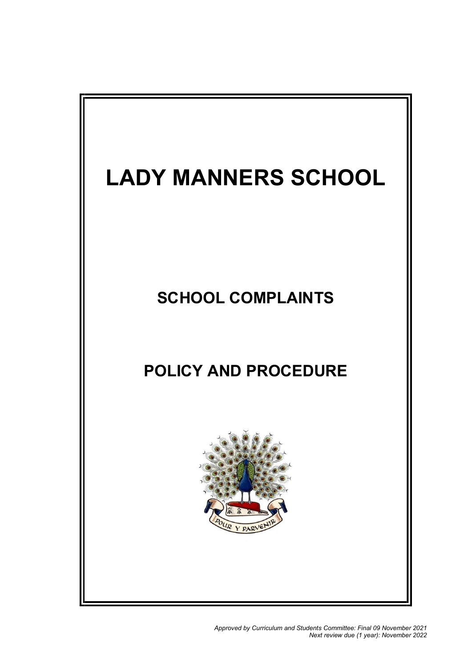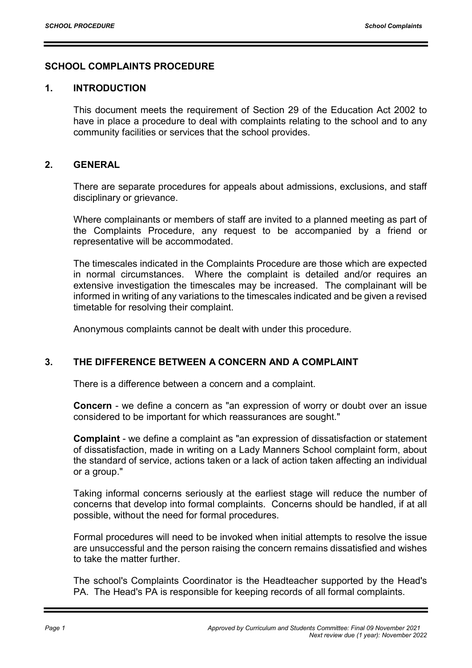## SCHOOL COMPLAINTS PROCEDURE

#### 1. INTRODUCTION

This document meets the requirement of Section 29 of the Education Act 2002 to have in place a procedure to deal with complaints relating to the school and to any community facilities or services that the school provides.

### 2. GENERAL

There are separate procedures for appeals about admissions, exclusions, and staff disciplinary or grievance.

Where complainants or members of staff are invited to a planned meeting as part of the Complaints Procedure, any request to be accompanied by a friend or representative will be accommodated.

The timescales indicated in the Complaints Procedure are those which are expected in normal circumstances. Where the complaint is detailed and/or requires an extensive investigation the timescales may be increased. The complainant will be informed in writing of any variations to the timescales indicated and be given a revised timetable for resolving their complaint.

Anonymous complaints cannot be dealt with under this procedure.

## 3. THE DIFFERENCE BETWEEN A CONCERN AND A COMPLAINT

There is a difference between a concern and a complaint.

Concern - we define a concern as "an expression of worry or doubt over an issue considered to be important for which reassurances are sought."

Complaint - we define a complaint as "an expression of dissatisfaction or statement of dissatisfaction, made in writing on a Lady Manners School complaint form, about the standard of service, actions taken or a lack of action taken affecting an individual or a group."

Taking informal concerns seriously at the earliest stage will reduce the number of concerns that develop into formal complaints. Concerns should be handled, if at all possible, without the need for formal procedures.

Formal procedures will need to be invoked when initial attempts to resolve the issue are unsuccessful and the person raising the concern remains dissatisfied and wishes to take the matter further.

The school's Complaints Coordinator is the Headteacher supported by the Head's PA. The Head's PA is responsible for keeping records of all formal complaints.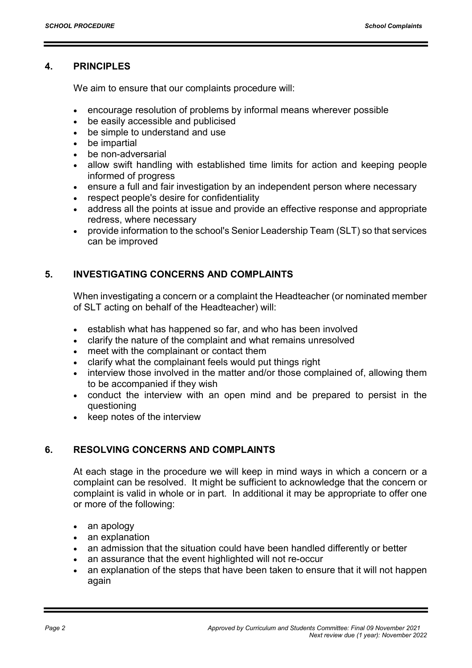## 4. PRINCIPLES

We aim to ensure that our complaints procedure will:

- encourage resolution of problems by informal means wherever possible
- be easily accessible and publicised
- be simple to understand and use
- be impartial
- be non-adversarial
- allow swift handling with established time limits for action and keeping people informed of progress
- ensure a full and fair investigation by an independent person where necessary
- respect people's desire for confidentiality
- address all the points at issue and provide an effective response and appropriate redress, where necessary
- provide information to the school's Senior Leadership Team (SLT) so that services can be improved

## 5. INVESTIGATING CONCERNS AND COMPLAINTS

When investigating a concern or a complaint the Headteacher (or nominated member of SLT acting on behalf of the Headteacher) will:

- establish what has happened so far, and who has been involved
- clarify the nature of the complaint and what remains unresolved
- meet with the complainant or contact them
- clarify what the complainant feels would put things right
- interview those involved in the matter and/or those complained of, allowing them to be accompanied if they wish
- conduct the interview with an open mind and be prepared to persist in the questioning
- keep notes of the interview

## 6. RESOLVING CONCERNS AND COMPLAINTS

At each stage in the procedure we will keep in mind ways in which a concern or a complaint can be resolved. It might be sufficient to acknowledge that the concern or complaint is valid in whole or in part. In additional it may be appropriate to offer one or more of the following:

- an apology
- an explanation
- an admission that the situation could have been handled differently or better
- an assurance that the event highlighted will not re-occur
- an explanation of the steps that have been taken to ensure that it will not happen again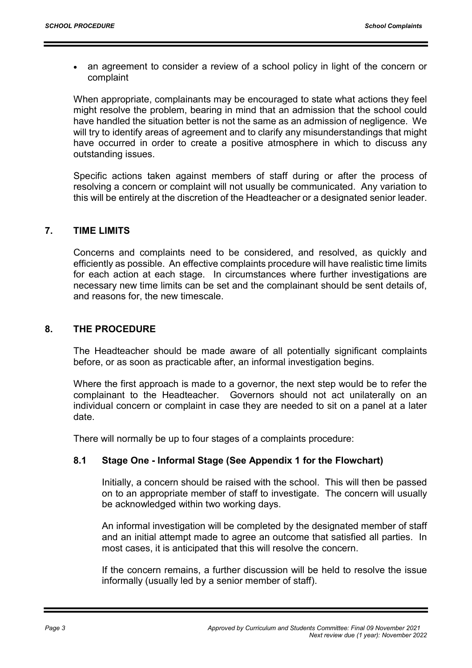• an agreement to consider a review of a school policy in light of the concern or complaint

When appropriate, complainants may be encouraged to state what actions they feel might resolve the problem, bearing in mind that an admission that the school could have handled the situation better is not the same as an admission of negligence. We will try to identify areas of agreement and to clarify any misunderstandings that might have occurred in order to create a positive atmosphere in which to discuss any outstanding issues.

Specific actions taken against members of staff during or after the process of resolving a concern or complaint will not usually be communicated. Any variation to this will be entirely at the discretion of the Headteacher or a designated senior leader.

## 7. TIME LIMITS

Concerns and complaints need to be considered, and resolved, as quickly and efficiently as possible. An effective complaints procedure will have realistic time limits for each action at each stage. In circumstances where further investigations are necessary new time limits can be set and the complainant should be sent details of, and reasons for, the new timescale.

## 8. THE PROCEDURE

The Headteacher should be made aware of all potentially significant complaints before, or as soon as practicable after, an informal investigation begins.

Where the first approach is made to a governor, the next step would be to refer the complainant to the Headteacher. Governors should not act unilaterally on an individual concern or complaint in case they are needed to sit on a panel at a later date.

There will normally be up to four stages of a complaints procedure:

## 8.1 Stage One - Informal Stage (See Appendix 1 for the Flowchart)

Initially, a concern should be raised with the school. This will then be passed on to an appropriate member of staff to investigate. The concern will usually be acknowledged within two working days.

An informal investigation will be completed by the designated member of staff and an initial attempt made to agree an outcome that satisfied all parties. In most cases, it is anticipated that this will resolve the concern.

If the concern remains, a further discussion will be held to resolve the issue informally (usually led by a senior member of staff).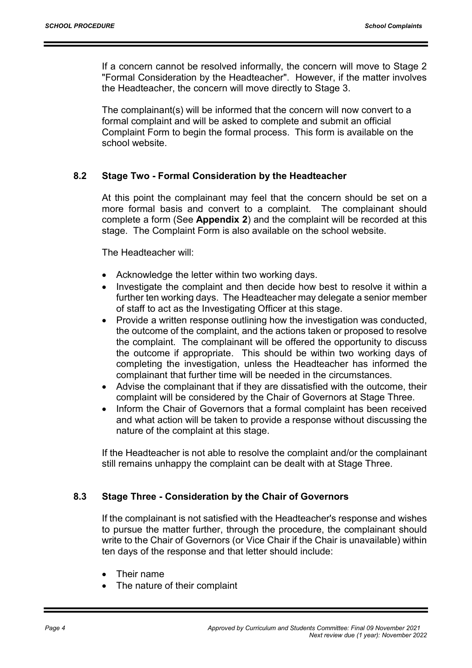If a concern cannot be resolved informally, the concern will move to Stage 2 "Formal Consideration by the Headteacher". However, if the matter involves the Headteacher, the concern will move directly to Stage 3.

The complainant(s) will be informed that the concern will now convert to a formal complaint and will be asked to complete and submit an official Complaint Form to begin the formal process. This form is available on the school website.

#### 8.2 Stage Two - Formal Consideration by the Headteacher

At this point the complainant may feel that the concern should be set on a more formal basis and convert to a complaint. The complainant should complete a form (See Appendix 2) and the complaint will be recorded at this stage. The Complaint Form is also available on the school website.

The Headteacher will:

- Acknowledge the letter within two working days.
- Investigate the complaint and then decide how best to resolve it within a further ten working days. The Headteacher may delegate a senior member of staff to act as the Investigating Officer at this stage.
- Provide a written response outlining how the investigation was conducted, the outcome of the complaint, and the actions taken or proposed to resolve the complaint. The complainant will be offered the opportunity to discuss the outcome if appropriate. This should be within two working days of completing the investigation, unless the Headteacher has informed the complainant that further time will be needed in the circumstances.
- Advise the complainant that if they are dissatisfied with the outcome, their complaint will be considered by the Chair of Governors at Stage Three.
- Inform the Chair of Governors that a formal complaint has been received and what action will be taken to provide a response without discussing the nature of the complaint at this stage.

If the Headteacher is not able to resolve the complaint and/or the complainant still remains unhappy the complaint can be dealt with at Stage Three.

#### 8.3 Stage Three - Consideration by the Chair of Governors

If the complainant is not satisfied with the Headteacher's response and wishes to pursue the matter further, through the procedure, the complainant should write to the Chair of Governors (or Vice Chair if the Chair is unavailable) within ten days of the response and that letter should include:

- Their name
- The nature of their complaint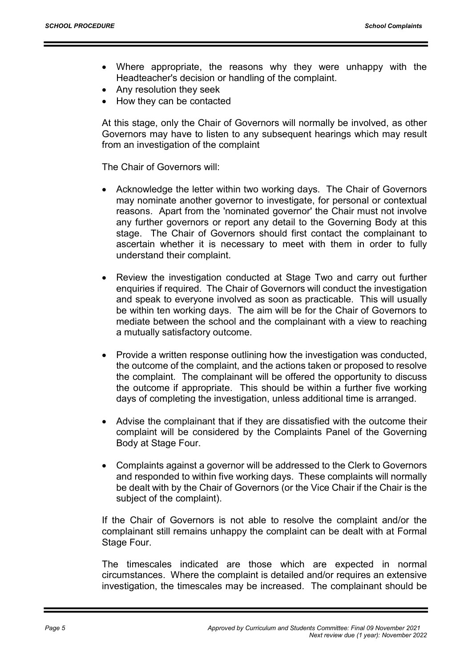- Where appropriate, the reasons why they were unhappy with the Headteacher's decision or handling of the complaint.
- Any resolution they seek
- How they can be contacted

At this stage, only the Chair of Governors will normally be involved, as other Governors may have to listen to any subsequent hearings which may result from an investigation of the complaint

The Chair of Governors will:

- Acknowledge the letter within two working days. The Chair of Governors may nominate another governor to investigate, for personal or contextual reasons. Apart from the 'nominated governor' the Chair must not involve any further governors or report any detail to the Governing Body at this stage. The Chair of Governors should first contact the complainant to ascertain whether it is necessary to meet with them in order to fully understand their complaint.
- Review the investigation conducted at Stage Two and carry out further enquiries if required. The Chair of Governors will conduct the investigation and speak to everyone involved as soon as practicable. This will usually be within ten working days. The aim will be for the Chair of Governors to mediate between the school and the complainant with a view to reaching a mutually satisfactory outcome.
- Provide a written response outlining how the investigation was conducted, the outcome of the complaint, and the actions taken or proposed to resolve the complaint. The complainant will be offered the opportunity to discuss the outcome if appropriate. This should be within a further five working days of completing the investigation, unless additional time is arranged.
- Advise the complainant that if they are dissatisfied with the outcome their complaint will be considered by the Complaints Panel of the Governing Body at Stage Four.
- Complaints against a governor will be addressed to the Clerk to Governors and responded to within five working days. These complaints will normally be dealt with by the Chair of Governors (or the Vice Chair if the Chair is the subject of the complaint).

If the Chair of Governors is not able to resolve the complaint and/or the complainant still remains unhappy the complaint can be dealt with at Formal Stage Four.

The timescales indicated are those which are expected in normal circumstances. Where the complaint is detailed and/or requires an extensive investigation, the timescales may be increased. The complainant should be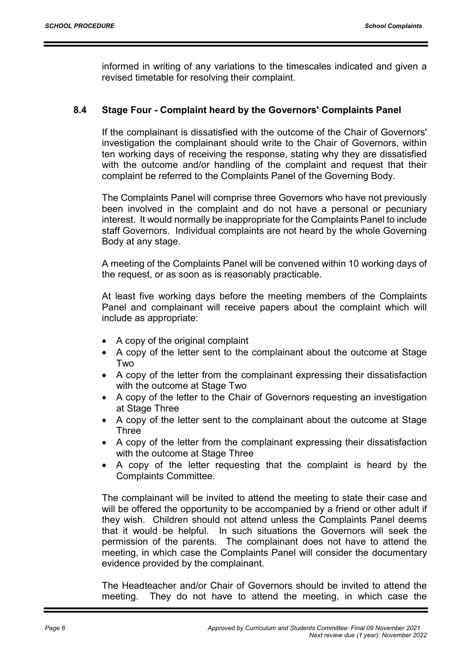informed in writing of any variations to the timescales indicated and given a revised timetable for resolving their complaint.

## 8.4 Stage Four - Complaint heard by the Governors' Complaints Panel

If the complainant is dissatisfied with the outcome of the Chair of Governors' investigation the complainant should write to the Chair of Governors, within ten working days of receiving the response, stating why they are dissatisfied with the outcome and/or handling of the complaint and request that their complaint be referred to the Complaints Panel of the Governing Body.

The Complaints Panel will comprise three Governors who have not previously been involved in the complaint and do not have a personal or pecuniary interest. It would normally be inappropriate for the Complaints Panel to include staff Governors. Individual complaints are not heard by the whole Governing Body at any stage.

A meeting of the Complaints Panel will be convened within 10 working days of the request, or as soon as is reasonably practicable.

At least five working days before the meeting members of the Complaints Panel and complainant will receive papers about the complaint which will include as appropriate:

- A copy of the original complaint
- A copy of the letter sent to the complainant about the outcome at Stage Two
- A copy of the letter from the complainant expressing their dissatisfaction with the outcome at Stage Two
- A copy of the letter to the Chair of Governors requesting an investigation at Stage Three
- A copy of the letter sent to the complainant about the outcome at Stage **Three**
- A copy of the letter from the complainant expressing their dissatisfaction with the outcome at Stage Three
- A copy of the letter requesting that the complaint is heard by the Complaints Committee.

The complainant will be invited to attend the meeting to state their case and will be offered the opportunity to be accompanied by a friend or other adult if they wish. Children should not attend unless the Complaints Panel deems that it would be helpful. In such situations the Governors will seek the permission of the parents. The complainant does not have to attend the meeting, in which case the Complaints Panel will consider the documentary evidence provided by the complainant.

The Headteacher and/or Chair of Governors should be invited to attend the meeting. They do not have to attend the meeting, in which case the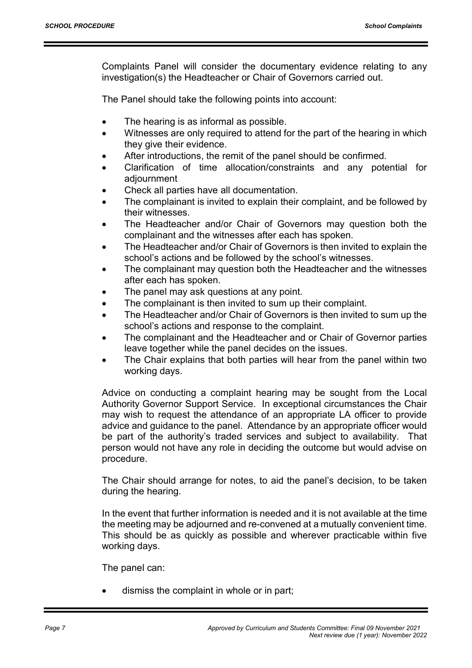Complaints Panel will consider the documentary evidence relating to any investigation(s) the Headteacher or Chair of Governors carried out.

The Panel should take the following points into account:

- The hearing is as informal as possible.
- Witnesses are only required to attend for the part of the hearing in which they give their evidence.
- After introductions, the remit of the panel should be confirmed.
- Clarification of time allocation/constraints and any potential for adjournment
- Check all parties have all documentation.
- The complainant is invited to explain their complaint, and be followed by their witnesses.
- The Headteacher and/or Chair of Governors may question both the complainant and the witnesses after each has spoken.
- The Headteacher and/or Chair of Governors is then invited to explain the school's actions and be followed by the school's witnesses.
- The complainant may question both the Headteacher and the witnesses after each has spoken.
- The panel may ask questions at any point.
- The complainant is then invited to sum up their complaint.
- The Headteacher and/or Chair of Governors is then invited to sum up the school's actions and response to the complaint.
- The complainant and the Headteacher and or Chair of Governor parties leave together while the panel decides on the issues.
- The Chair explains that both parties will hear from the panel within two working days.

Advice on conducting a complaint hearing may be sought from the Local Authority Governor Support Service. In exceptional circumstances the Chair may wish to request the attendance of an appropriate LA officer to provide advice and guidance to the panel. Attendance by an appropriate officer would be part of the authority's traded services and subject to availability. That person would not have any role in deciding the outcome but would advise on procedure.

The Chair should arrange for notes, to aid the panel's decision, to be taken during the hearing.

In the event that further information is needed and it is not available at the time the meeting may be adjourned and re-convened at a mutually convenient time. This should be as quickly as possible and wherever practicable within five working days.

The panel can:

dismiss the complaint in whole or in part;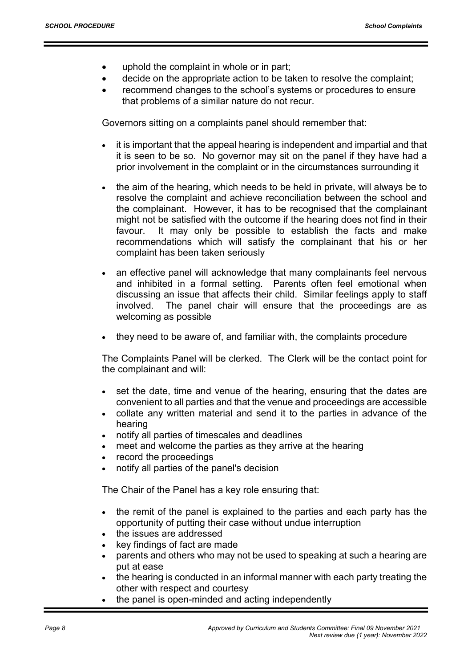- uphold the complaint in whole or in part;
- decide on the appropriate action to be taken to resolve the complaint;
- recommend changes to the school's systems or procedures to ensure that problems of a similar nature do not recur.

Governors sitting on a complaints panel should remember that:

- it is important that the appeal hearing is independent and impartial and that it is seen to be so. No governor may sit on the panel if they have had a prior involvement in the complaint or in the circumstances surrounding it
- the aim of the hearing, which needs to be held in private, will always be to resolve the complaint and achieve reconciliation between the school and the complainant. However, it has to be recognised that the complainant might not be satisfied with the outcome if the hearing does not find in their favour. It may only be possible to establish the facts and make recommendations which will satisfy the complainant that his or her complaint has been taken seriously
- an effective panel will acknowledge that many complainants feel nervous and inhibited in a formal setting. Parents often feel emotional when discussing an issue that affects their child. Similar feelings apply to staff involved. The panel chair will ensure that the proceedings are as welcoming as possible
- they need to be aware of, and familiar with, the complaints procedure

The Complaints Panel will be clerked. The Clerk will be the contact point for the complainant and will:

- set the date, time and venue of the hearing, ensuring that the dates are convenient to all parties and that the venue and proceedings are accessible
- collate any written material and send it to the parties in advance of the hearing
- notify all parties of timescales and deadlines
- meet and welcome the parties as they arrive at the hearing
- record the proceedings
- notify all parties of the panel's decision

The Chair of the Panel has a key role ensuring that:

- the remit of the panel is explained to the parties and each party has the opportunity of putting their case without undue interruption
- the issues are addressed
- key findings of fact are made
- parents and others who may not be used to speaking at such a hearing are put at ease
- the hearing is conducted in an informal manner with each party treating the other with respect and courtesy
- the panel is open-minded and acting independently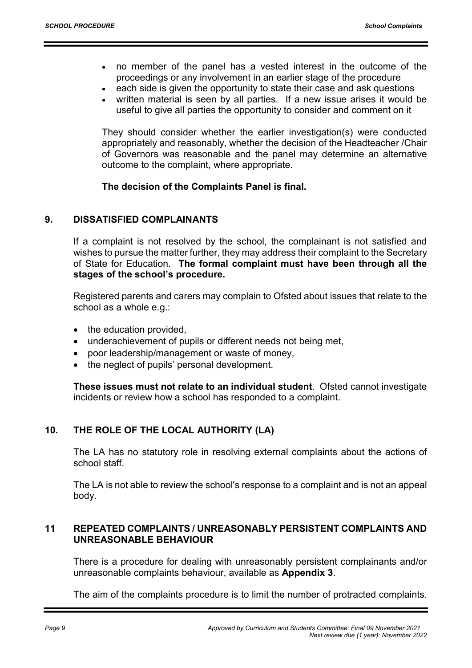- no member of the panel has a vested interest in the outcome of the proceedings or any involvement in an earlier stage of the procedure
- each side is given the opportunity to state their case and ask questions
- written material is seen by all parties. If a new issue arises it would be useful to give all parties the opportunity to consider and comment on it

They should consider whether the earlier investigation(s) were conducted appropriately and reasonably, whether the decision of the Headteacher /Chair of Governors was reasonable and the panel may determine an alternative outcome to the complaint, where appropriate.

## The decision of the Complaints Panel is final.

## 9. DISSATISFIED COMPLAINANTS

If a complaint is not resolved by the school, the complainant is not satisfied and wishes to pursue the matter further, they may address their complaint to the Secretary of State for Education. The formal complaint must have been through all the stages of the school's procedure.

Registered parents and carers may complain to Ofsted about issues that relate to the school as a whole e.g.:

- $\bullet$  the education provided,
- underachievement of pupils or different needs not being met,
- poor leadership/management or waste of money,
- the neglect of pupils' personal development.

These issues must not relate to an individual student. Ofsted cannot investigate incidents or review how a school has responded to a complaint.

## 10. THE ROLE OF THE LOCAL AUTHORITY (LA)

The LA has no statutory role in resolving external complaints about the actions of school staff.

The LA is not able to review the school's response to a complaint and is not an appeal body.

## 11 REPEATED COMPLAINTS / UNREASONABLY PERSISTENT COMPLAINTS AND UNREASONABLE BEHAVIOUR

There is a procedure for dealing with unreasonably persistent complainants and/or unreasonable complaints behaviour, available as Appendix 3.

The aim of the complaints procedure is to limit the number of protracted complaints.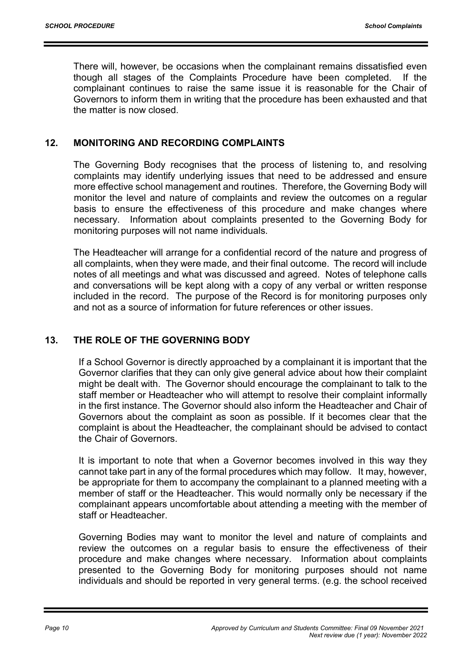There will, however, be occasions when the complainant remains dissatisfied even though all stages of the Complaints Procedure have been completed. If the complainant continues to raise the same issue it is reasonable for the Chair of Governors to inform them in writing that the procedure has been exhausted and that the matter is now closed.

## 12. MONITORING AND RECORDING COMPLAINTS

The Governing Body recognises that the process of listening to, and resolving complaints may identify underlying issues that need to be addressed and ensure more effective school management and routines. Therefore, the Governing Body will monitor the level and nature of complaints and review the outcomes on a regular basis to ensure the effectiveness of this procedure and make changes where necessary. Information about complaints presented to the Governing Body for monitoring purposes will not name individuals.

The Headteacher will arrange for a confidential record of the nature and progress of all complaints, when they were made, and their final outcome. The record will include notes of all meetings and what was discussed and agreed. Notes of telephone calls and conversations will be kept along with a copy of any verbal or written response included in the record. The purpose of the Record is for monitoring purposes only and not as a source of information for future references or other issues.

## 13. THE ROLE OF THE GOVERNING BODY

If a School Governor is directly approached by a complainant it is important that the Governor clarifies that they can only give general advice about how their complaint might be dealt with. The Governor should encourage the complainant to talk to the staff member or Headteacher who will attempt to resolve their complaint informally in the first instance. The Governor should also inform the Headteacher and Chair of Governors about the complaint as soon as possible. If it becomes clear that the complaint is about the Headteacher, the complainant should be advised to contact the Chair of Governors.

It is important to note that when a Governor becomes involved in this way they cannot take part in any of the formal procedures which may follow. It may, however, be appropriate for them to accompany the complainant to a planned meeting with a member of staff or the Headteacher. This would normally only be necessary if the complainant appears uncomfortable about attending a meeting with the member of staff or Headteacher.

Governing Bodies may want to monitor the level and nature of complaints and review the outcomes on a regular basis to ensure the effectiveness of their procedure and make changes where necessary. Information about complaints presented to the Governing Body for monitoring purposes should not name individuals and should be reported in very general terms. (e.g. the school received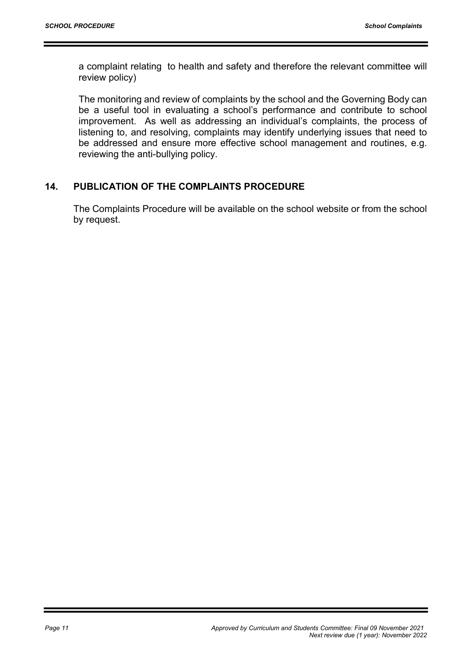a complaint relating to health and safety and therefore the relevant committee will review policy)

The monitoring and review of complaints by the school and the Governing Body can be a useful tool in evaluating a school's performance and contribute to school improvement. As well as addressing an individual's complaints, the process of listening to, and resolving, complaints may identify underlying issues that need to be addressed and ensure more effective school management and routines, e.g. reviewing the anti-bullying policy.

## 14. PUBLICATION OF THE COMPLAINTS PROCEDURE

The Complaints Procedure will be available on the school website or from the school by request.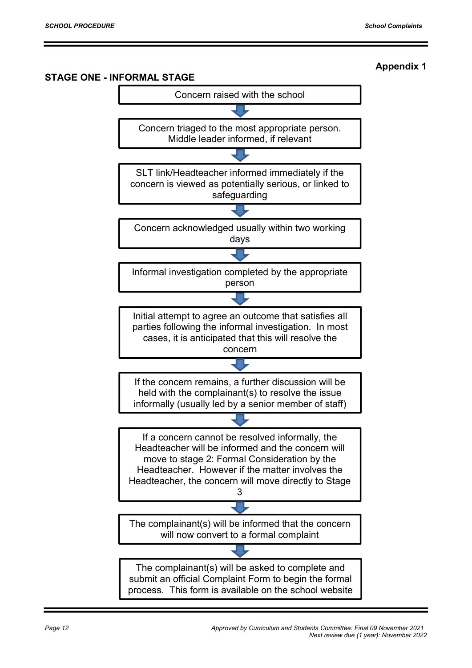## STAGE ONE - INFORMAL STAGE Concern raised with the school Concern triaged to the most appropriate person. Middle leader informed, if relevant SLT link/Headteacher informed immediately if the concern is viewed as potentially serious, or linked to safeguarding Concern acknowledged usually within two working days Informal investigation completed by the appropriate person Initial attempt to agree an outcome that satisfies all parties following the informal investigation. In most cases, it is anticipated that this will resolve the concern The complainant(s) will be informed that the concern will now convert to a formal complaint If the concern remains, a further discussion will be held with the complainant(s) to resolve the issue informally (usually led by a senior member of staff) If a concern cannot be resolved informally, the Headteacher will be informed and the concern will move to stage 2: Formal Consideration by the Headteacher. However if the matter involves the Headteacher, the concern will move directly to Stage 3 The complainant(s) will be asked to complete and submit an official Complaint Form to begin the formal process. This form is available on the school website

## Appendix 1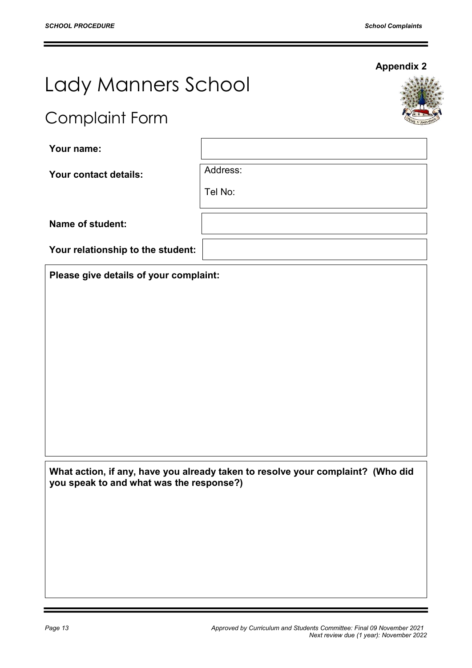Appendix 2

# Lady Manners School

## Complaint Form

Your name:

Your contact details: Address:

Tel No:

Name of student:

Your relationship to the student:

Please give details of your complaint:

What action, if any, have you already taken to resolve your complaint? (Who did you speak to and what was the response?)

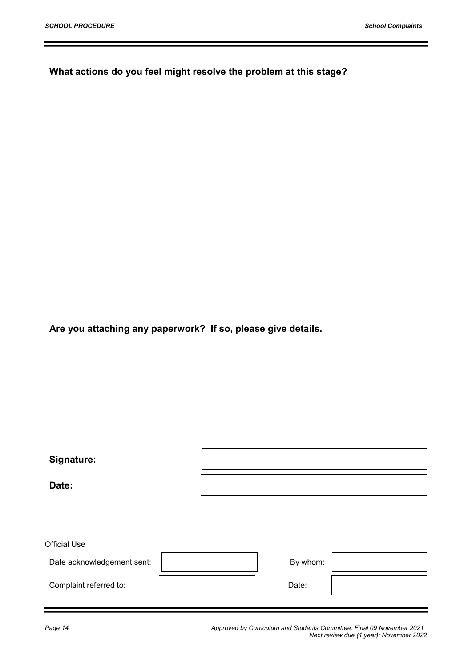What actions do you feel might resolve the problem at this stage?

Are you attaching any paperwork? If so, please give details.

## Signature:

Date:

Official Use Date acknowledgement sent:  $\begin{vmatrix} 1 & 1 & 1 \end{vmatrix}$  By whom: Complaint referred to:  $\qquad \qquad$   $\qquad$  Date:

Page 14 Approved by Curriculum and Students Committee: Final 09 November 2021 Next review due (1 year): November 2022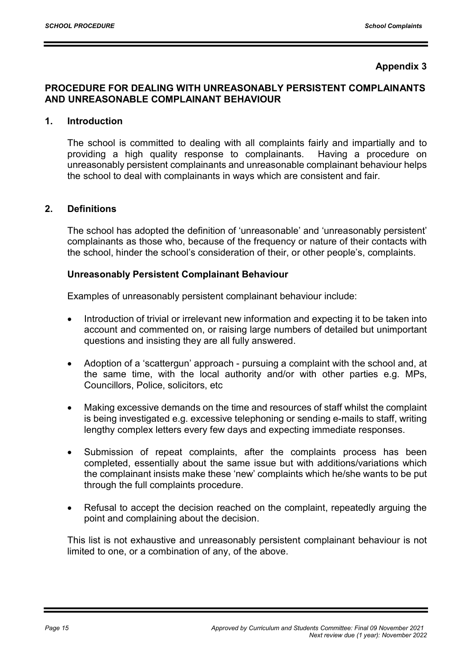## Appendix 3

## PROCEDURE FOR DEALING WITH UNREASONABLY PERSISTENT COMPLAINANTS AND UNREASONABLE COMPLAINANT BEHAVIOUR

#### 1. Introduction

 The school is committed to dealing with all complaints fairly and impartially and to providing a high quality response to complainants. Having a procedure on unreasonably persistent complainants and unreasonable complainant behaviour helps the school to deal with complainants in ways which are consistent and fair.

#### 2. Definitions

 The school has adopted the definition of 'unreasonable' and 'unreasonably persistent' complainants as those who, because of the frequency or nature of their contacts with the school, hinder the school's consideration of their, or other people's, complaints.

#### Unreasonably Persistent Complainant Behaviour

Examples of unreasonably persistent complainant behaviour include:

- Introduction of trivial or irrelevant new information and expecting it to be taken into account and commented on, or raising large numbers of detailed but unimportant questions and insisting they are all fully answered.
- Adoption of a 'scattergun' approach pursuing a complaint with the school and, at the same time, with the local authority and/or with other parties e.g. MPs, Councillors, Police, solicitors, etc
- Making excessive demands on the time and resources of staff whilst the complaint is being investigated e.g. excessive telephoning or sending e-mails to staff, writing lengthy complex letters every few days and expecting immediate responses.
- Submission of repeat complaints, after the complaints process has been completed, essentially about the same issue but with additions/variations which the complainant insists make these 'new' complaints which he/she wants to be put through the full complaints procedure.
- Refusal to accept the decision reached on the complaint, repeatedly arguing the point and complaining about the decision.

This list is not exhaustive and unreasonably persistent complainant behaviour is not limited to one, or a combination of any, of the above.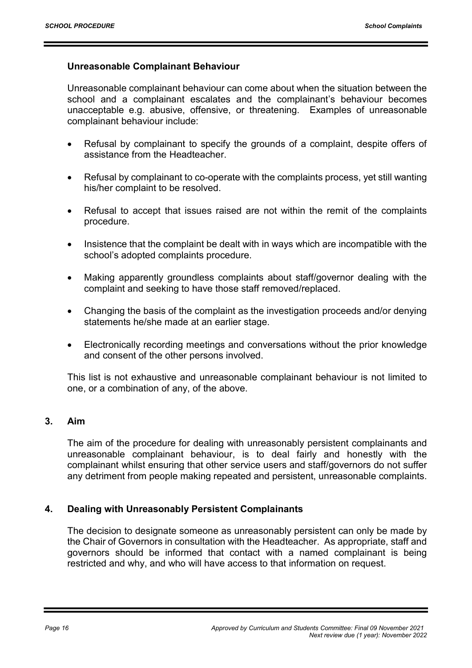## Unreasonable Complainant Behaviour

Unreasonable complainant behaviour can come about when the situation between the school and a complainant escalates and the complainant's behaviour becomes unacceptable e.g. abusive, offensive, or threatening. Examples of unreasonable complainant behaviour include:

- Refusal by complainant to specify the grounds of a complaint, despite offers of assistance from the Headteacher.
- Refusal by complainant to co-operate with the complaints process, yet still wanting his/her complaint to be resolved.
- Refusal to accept that issues raised are not within the remit of the complaints procedure.
- Insistence that the complaint be dealt with in ways which are incompatible with the school's adopted complaints procedure.
- Making apparently groundless complaints about staff/governor dealing with the complaint and seeking to have those staff removed/replaced.
- Changing the basis of the complaint as the investigation proceeds and/or denying statements he/she made at an earlier stage.
- Electronically recording meetings and conversations without the prior knowledge and consent of the other persons involved.

This list is not exhaustive and unreasonable complainant behaviour is not limited to one, or a combination of any, of the above.

## 3. Aim

 The aim of the procedure for dealing with unreasonably persistent complainants and unreasonable complainant behaviour, is to deal fairly and honestly with the complainant whilst ensuring that other service users and staff/governors do not suffer any detriment from people making repeated and persistent, unreasonable complaints.

## 4. Dealing with Unreasonably Persistent Complainants

 The decision to designate someone as unreasonably persistent can only be made by the Chair of Governors in consultation with the Headteacher. As appropriate, staff and governors should be informed that contact with a named complainant is being restricted and why, and who will have access to that information on request.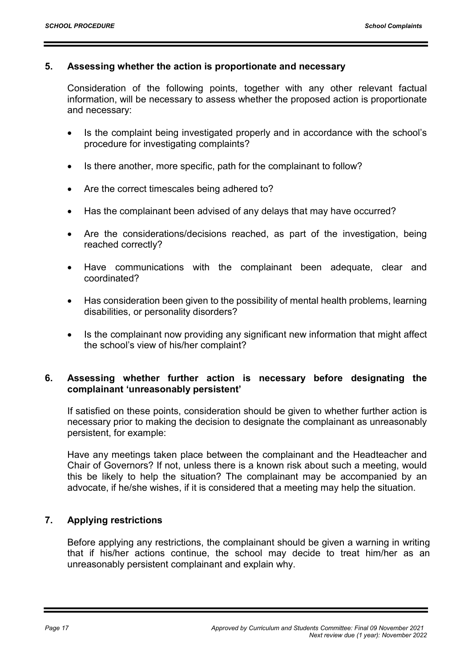#### 5. Assessing whether the action is proportionate and necessary

 Consideration of the following points, together with any other relevant factual information, will be necessary to assess whether the proposed action is proportionate and necessary:

- Is the complaint being investigated properly and in accordance with the school's procedure for investigating complaints?
- Is there another, more specific, path for the complainant to follow?
- Are the correct timescales being adhered to?
- Has the complainant been advised of any delays that may have occurred?
- Are the considerations/decisions reached, as part of the investigation, being reached correctly?
- Have communications with the complainant been adequate, clear and coordinated?
- Has consideration been given to the possibility of mental health problems, learning disabilities, or personality disorders?
- Is the complainant now providing any significant new information that might affect the school's view of his/her complaint?

## 6. Assessing whether further action is necessary before designating the complainant 'unreasonably persistent'

 If satisfied on these points, consideration should be given to whether further action is necessary prior to making the decision to designate the complainant as unreasonably persistent, for example:

 Have any meetings taken place between the complainant and the Headteacher and Chair of Governors? If not, unless there is a known risk about such a meeting, would this be likely to help the situation? The complainant may be accompanied by an advocate, if he/she wishes, if it is considered that a meeting may help the situation.

## 7. Applying restrictions

 Before applying any restrictions, the complainant should be given a warning in writing that if his/her actions continue, the school may decide to treat him/her as an unreasonably persistent complainant and explain why.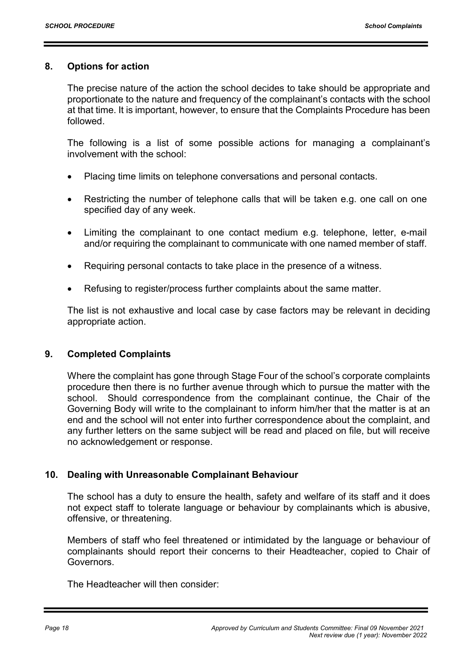#### 8. Options for action

 The precise nature of the action the school decides to take should be appropriate and proportionate to the nature and frequency of the complainant's contacts with the school at that time. It is important, however, to ensure that the Complaints Procedure has been followed.

 The following is a list of some possible actions for managing a complainant's involvement with the school:

- Placing time limits on telephone conversations and personal contacts.
- Restricting the number of telephone calls that will be taken e.g. one call on one specified day of any week.
- Limiting the complainant to one contact medium e.g. telephone, letter, e-mail and/or requiring the complainant to communicate with one named member of staff.
- Requiring personal contacts to take place in the presence of a witness.
- Refusing to register/process further complaints about the same matter.

The list is not exhaustive and local case by case factors may be relevant in deciding appropriate action.

#### 9. Completed Complaints

 Where the complaint has gone through Stage Four of the school's corporate complaints procedure then there is no further avenue through which to pursue the matter with the school. Should correspondence from the complainant continue, the Chair of the Governing Body will write to the complainant to inform him/her that the matter is at an end and the school will not enter into further correspondence about the complaint, and any further letters on the same subject will be read and placed on file, but will receive no acknowledgement or response.

#### 10. Dealing with Unreasonable Complainant Behaviour

 The school has a duty to ensure the health, safety and welfare of its staff and it does not expect staff to tolerate language or behaviour by complainants which is abusive, offensive, or threatening.

 Members of staff who feel threatened or intimidated by the language or behaviour of complainants should report their concerns to their Headteacher, copied to Chair of Governors.

The Headteacher will then consider: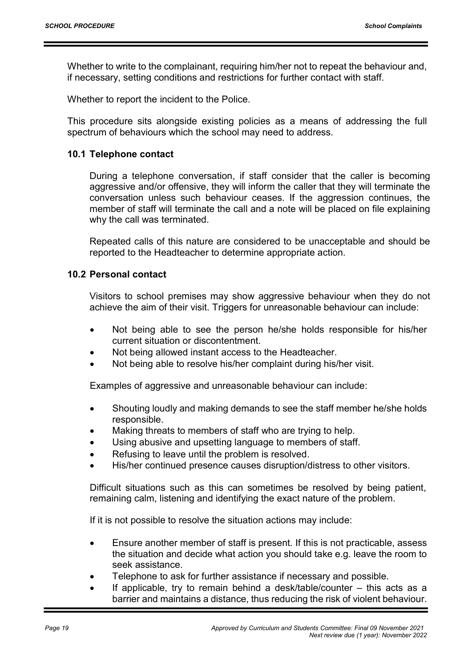Whether to write to the complainant, requiring him/her not to repeat the behaviour and, if necessary, setting conditions and restrictions for further contact with staff.

Whether to report the incident to the Police.

 This procedure sits alongside existing policies as a means of addressing the full spectrum of behaviours which the school may need to address.

#### 10.1 Telephone contact

 During a telephone conversation, if staff consider that the caller is becoming aggressive and/or offensive, they will inform the caller that they will terminate the conversation unless such behaviour ceases. If the aggression continues, the member of staff will terminate the call and a note will be placed on file explaining why the call was terminated.

 Repeated calls of this nature are considered to be unacceptable and should be reported to the Headteacher to determine appropriate action.

#### 10.2 Personal contact

 Visitors to school premises may show aggressive behaviour when they do not achieve the aim of their visit. Triggers for unreasonable behaviour can include:

- Not being able to see the person he/she holds responsible for his/her current situation or discontentment.
- Not being allowed instant access to the Headteacher.
- Not being able to resolve his/her complaint during his/her visit.

Examples of aggressive and unreasonable behaviour can include:

- Shouting loudly and making demands to see the staff member he/she holds responsible.
- Making threats to members of staff who are trying to help.
- Using abusive and upsetting language to members of staff.
- Refusing to leave until the problem is resolved.
- His/her continued presence causes disruption/distress to other visitors.

Difficult situations such as this can sometimes be resolved by being patient, remaining calm, listening and identifying the exact nature of the problem.

If it is not possible to resolve the situation actions may include:

- Ensure another member of staff is present. If this is not practicable, assess the situation and decide what action you should take e.g. leave the room to seek assistance.
- Telephone to ask for further assistance if necessary and possible.
- If applicable, try to remain behind a desk/table/counter this acts as a barrier and maintains a distance, thus reducing the risk of violent behaviour.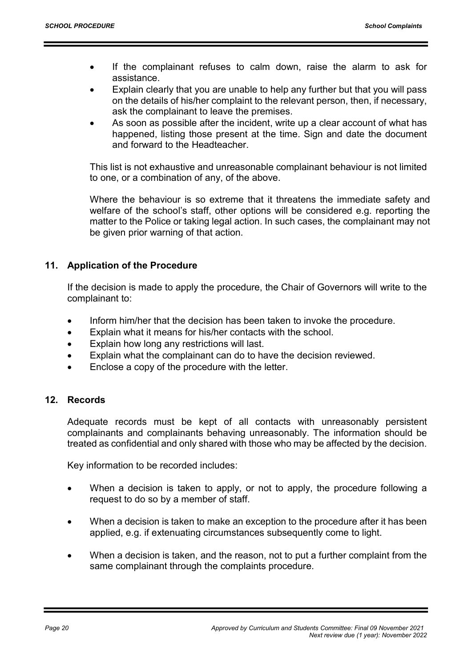- If the complainant refuses to calm down, raise the alarm to ask for assistance.
- Explain clearly that you are unable to help any further but that you will pass on the details of his/her complaint to the relevant person, then, if necessary, ask the complainant to leave the premises.
- As soon as possible after the incident, write up a clear account of what has happened, listing those present at the time. Sign and date the document and forward to the Headteacher.

This list is not exhaustive and unreasonable complainant behaviour is not limited to one, or a combination of any, of the above.

Where the behaviour is so extreme that it threatens the immediate safety and welfare of the school's staff, other options will be considered e.g. reporting the matter to the Police or taking legal action. In such cases, the complainant may not be given prior warning of that action.

## 11. Application of the Procedure

 If the decision is made to apply the procedure, the Chair of Governors will write to the complainant to:

- Inform him/her that the decision has been taken to invoke the procedure.
- Explain what it means for his/her contacts with the school.
- Explain how long any restrictions will last.
- Explain what the complainant can do to have the decision reviewed.
- Enclose a copy of the procedure with the letter.

## 12. Records

 Adequate records must be kept of all contacts with unreasonably persistent complainants and complainants behaving unreasonably. The information should be treated as confidential and only shared with those who may be affected by the decision.

Key information to be recorded includes:

- When a decision is taken to apply, or not to apply, the procedure following a request to do so by a member of staff.
- When a decision is taken to make an exception to the procedure after it has been applied, e.g. if extenuating circumstances subsequently come to light.
- When a decision is taken, and the reason, not to put a further complaint from the same complainant through the complaints procedure.